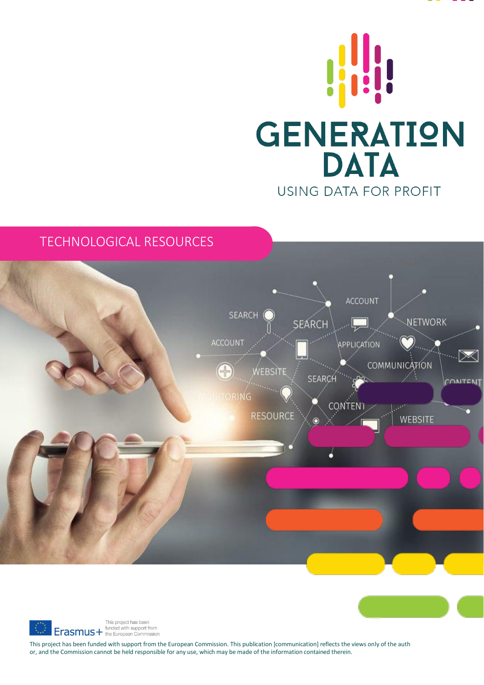



# TECHNOLOGICAL RESOURCES





This project has been funded with support from the European Commission. This publication [communication] reflects the views only of the auth or, and the Commission cannot be held responsible for any use, which may be made of the information contained therein.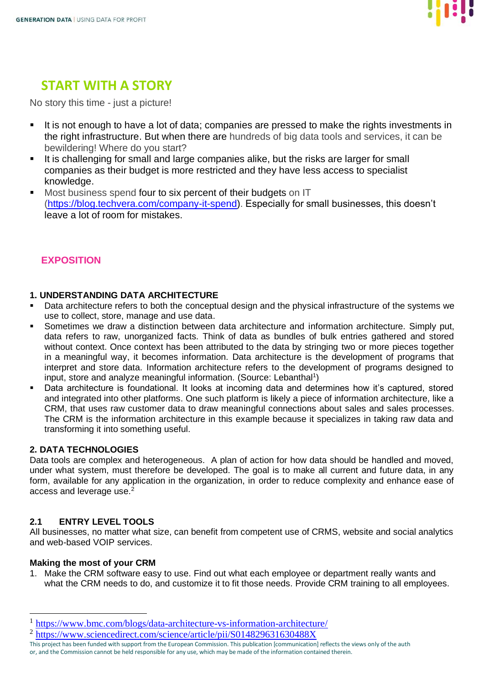

# **START WITH A STORY**

No story this time - just a picture!

- It is not enough to have a lot of data; companies are pressed to make the rights investments in the right infrastructure. But when there are hundreds of big data tools and services, it can be bewildering! Where do you start?
- It is challenging for small and large companies alike, but the risks are larger for small companies as their budget is more restricted and they have less access to specialist knowledge.
- Most business spend four to six percent of their budgets on IT [\(https://blog.techvera.com/company-it-spend\)](https://blog.techvera.com/company-it-spend). Especially for small businesses, this doesn't leave a lot of room for mistakes.

# **EXPOSITION**

## **1. UNDERSTANDING DATA ARCHITECTURE**

- Data architecture refers to both the conceptual design and the physical infrastructure of the systems we use to collect, store, manage and use data.
- Sometimes we draw a distinction between data architecture and information architecture. Simply put, data refers to raw, unorganized facts. Think of data as bundles of bulk entries gathered and stored without context. Once context has been attributed to the data by stringing two or more pieces together in a meaningful way, it becomes information. Data architecture is the development of programs that interpret and store data. Information architecture refers to the development of programs designed to input, store and analyze meaningful information. (Source: Lebanthal<sup>1</sup>)
- Data architecture is foundational. It looks at incoming data and determines how it's captured, stored and integrated into other platforms. One such platform is likely a piece of information architecture, like a CRM, that uses raw customer data to draw meaningful connections about sales and sales processes. The CRM is the information architecture in this example because it specializes in taking raw data and transforming it into something useful.

## **2. DATA TECHNOLOGIES**

Data tools are complex and heterogeneous. A plan of action for how data should be handled and moved, under what system, must therefore be developed. The goal is to make all current and future data, in any form, available for any application in the organization, in order to reduce complexity and enhance ease of access and leverage use.<sup>2</sup>

# **2.1 ENTRY LEVEL TOOLS**

All businesses, no matter what size, can benefit from competent use of CRMS, website and social analytics and web-based VOIP services.

## **Making the most of your CRM**

1. Make the CRM software easy to use. Find out what each employee or department really wants and what the CRM needs to do, and customize it to fit those needs. Provide CRM training to all employees.

<sup>1</sup> <https://www.bmc.com/blogs/data-architecture-vs-information-architecture/>

<sup>&</sup>lt;sup>2</sup> <https://www.sciencedirect.com/science/article/pii/S014829631630488X>

This project has been funded with support from the European Commission. This publication [communication] reflects the views only of the auth or, and the Commission cannot be held responsible for any use, which may be made of the information contained therein.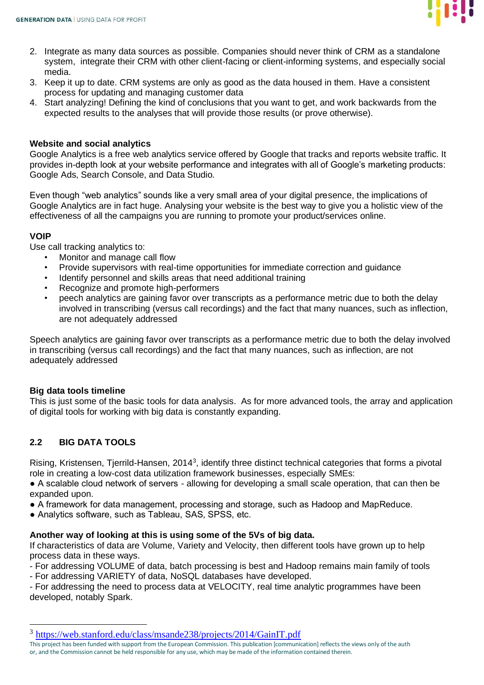

- 2. Integrate as many data sources as possible. Companies should never think of CRM as a standalone system, integrate their CRM with other client-facing or client-informing systems, and especially social media.
- 3. Keep it up to date. CRM systems are only as good as the data housed in them. Have a consistent process for updating and managing customer data
- 4. Start analyzing! Defining the kind of conclusions that you want to get, and work backwards from the expected results to the analyses that will provide those results (or prove otherwise).

### **Website and social analytics**

Google Analytics is a free web analytics service offered by Google that tracks and reports website traffic. It provides in-depth look at your website performance and integrates with all of Google's marketing products: Google Ads, Search Console, and Data Studio.

Even though "web analytics" sounds like a very small area of your digital presence, the implications of Google Analytics are in fact huge. Analysing your website is the best way to give you a holistic view of the effectiveness of all the campaigns you are running to promote your product/services online.

### **VOIP**

Use call tracking analytics to:

- Monitor and manage call flow
- Provide supervisors with real-time opportunities for immediate correction and guidance
- Identify personnel and skills areas that need additional training
- Recognize and promote high-performers
- peech analytics are gaining favor over transcripts as a performance metric due to both the delay involved in transcribing (versus call recordings) and the fact that many nuances, such as inflection, are not adequately addressed

Speech analytics are gaining favor over transcripts as a performance metric due to both the delay involved in transcribing (versus call recordings) and the fact that many nuances, such as inflection, are not adequately addressed

## **Big data tools timeline**

This is just some of the basic tools for data analysis. As for more advanced tools, the array and application of digital tools for working with big data is constantly expanding.

## **2.2 BIG DATA TOOLS**

Rising, Kristensen, Tjerrild-Hansen, 2014<sup>3</sup>, identify three distinct technical categories that forms a pivotal role in creating a low-cost data utilization framework businesses, especially SMEs:

● A scalable cloud network of servers - allowing for developing a small scale operation, that can then be expanded upon.

- A framework for data management, processing and storage, such as Hadoop and MapReduce.
- Analytics software, such as Tableau, SAS, SPSS, etc.

#### **Another way of looking at this is using some of the 5Vs of big data.**

If characteristics of data are Volume, Variety and Velocity, then different tools have grown up to help process data in these ways.

- For addressing VOLUME of data, batch processing is best and Hadoop remains main family of tools - For addressing VARIETY of data, NoSQL databases have developed.

- For addressing the need to process data at VELOCITY, real time analytic programmes have been developed, notably Spark.

<sup>&</sup>lt;sup>3</sup> <https://web.stanford.edu/class/msande238/projects/2014/GainIT.pdf>

This project has been funded with support from the European Commission. This publication [communication] reflects the views only of the auth or, and the Commission cannot be held responsible for any use, which may be made of the information contained therein.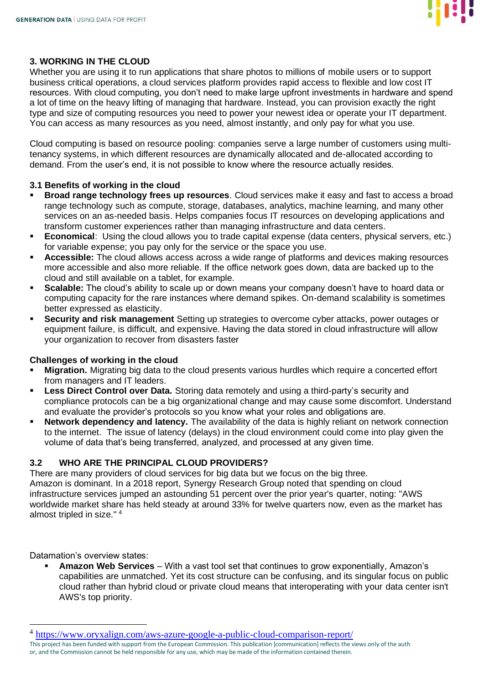

### **3. WORKING IN THE CLOUD**

Whether you are using it to run applications that share photos to millions of mobile users or to support business critical operations, a cloud services platform provides rapid access to flexible and low cost IT resources. With cloud computing, you don't need to make large upfront investments in hardware and spend a lot of time on the heavy lifting of managing that hardware. Instead, you can provision exactly the right type and size of computing resources you need to power your newest idea or operate your IT department. You can access as many resources as you need, almost instantly, and only pay for what you use.

Cloud computing is based on resource pooling: companies serve a large number of customers using multitenancy systems, in which different resources are dynamically allocated and de-allocated according to demand. From the user's end, it is not possible to know where the resource actually resides.

### **3.1 Benefits of working in the cloud**

- **Broad range technology frees up resources**. Cloud services make it easy and fast to access a broad range technology such as compute, storage, databases, analytics, machine learning, and many other services on an as-needed basis. Helps companies focus IT resources on developing applications and transform customer experiences rather than managing infrastructure and data centers.
- **Economical**: Using the cloud allows you to trade capital expense (data centers, physical servers, etc.) for variable expense; you pay only for the service or the space you use.
- Accessible: The cloud allows access across a wide range of platforms and devices making resources more accessible and also more reliable. If the office network goes down, data are backed up to the cloud and still available on a tablet, for example.
- **Scalable:** The cloud's ability to scale up or down means your company doesn't have to hoard data or computing capacity for the rare instances where demand spikes. On-demand scalability is sometimes better expressed as elasticity.
- **Security and risk management** Setting up strategies to overcome cyber attacks, power outages or equipment failure, is difficult, and expensive. Having the data stored in cloud infrastructure will allow your organization to recover from disasters faster

#### **Challenges of working in the cloud**

- **Migration.** Migrating big data to the cloud presents various hurdles which require a concerted effort from managers and IT leaders.
- **Less Direct Control over Data.** Storing data remotely and using a third-party's security and compliance protocols can be a big organizational change and may cause some discomfort. Understand and evaluate the provider's protocols so you know what your roles and obligations are.
- **Network dependency and latency.** The availability of the data is highly reliant on network connection to the internet. The issue of latency (delays) in the cloud environment could come into play given the volume of data that's being transferred, analyzed, and processed at any given time.

#### **3.2 WHO ARE THE PRINCIPAL CLOUD PROVIDERS?**

There are many providers of cloud services for big data but we focus on the big three. Amazon is dominant. In a 2018 report, Synergy Research Group noted that spending on cloud infrastructure services jumped an astounding 51 percent over the prior year's quarter, noting: "AWS worldwide market share has held steady at around 33% for twelve quarters now, even as the market has almost tripled in size." <sup>4</sup>

Datamation's overview states:

**Amazon Web Services** – With a vast tool set that continues to grow exponentially, Amazon's capabilities are unmatched. Yet its cost structure can be confusing, and its singular focus on public cloud rather than hybrid cloud or private cloud means that interoperating with your data center isn't AWS's top priority.

<sup>&</sup>lt;sup>4</sup> <https://www.oryxalign.com/aws-azure-google-a-public-cloud-comparison-report/>

This project has been funded with support from the European Commission. This publication [communication] reflects the views only of the auth or, and the Commission cannot be held responsible for any use, which may be made of the information contained therein.